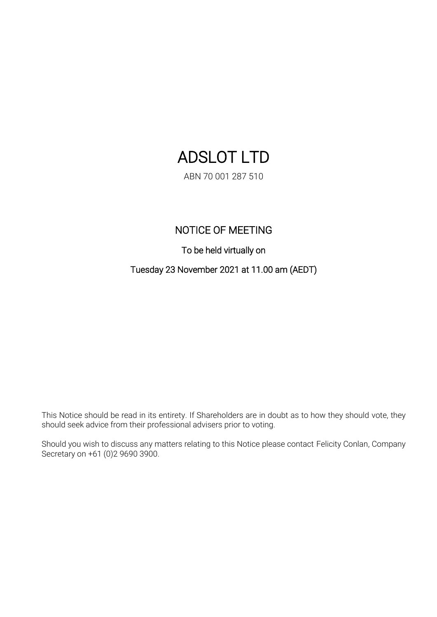# ADSLOT LTD

ABN 70 001 287 510

## NOTICE OF MEETING

To be held virtually on

Tuesday 23 November 2021 at 11.00 am (AEDT)

This Notice should be read in its entirety. If Shareholders are in doubt as to how they should vote, they should seek advice from their professional advisers prior to voting.

Should you wish to discuss any matters relating to this Notice please contact Felicity Conlan, Company Secretary on +61 (0)2 9690 3900.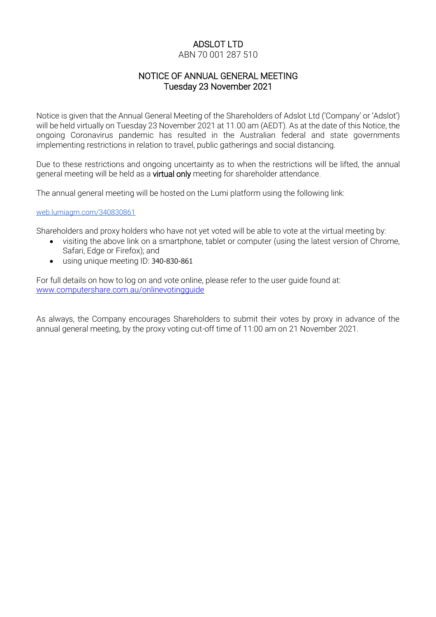# ADSLOT LTD

## ABN 70 001 287 510

## NOTICE OF ANNUAL GENERAL MEETING Tuesday 23 November 2021

Notice is given that the Annual General Meeting of the Shareholders of Adslot Ltd ('Company' or 'Adslot') will be held virtually on Tuesday 23 November 2021 at 11.00 am (AEDT). As at the date of this Notice, the ongoing Coronavirus pandemic has resulted in the Australian federal and state governments implementing restrictions in relation to travel, public gatherings and social distancing.

Due to these restrictions and ongoing uncertainty as to when the restrictions will be lifted, the annual general meeting will be held as a virtual only meeting for shareholder attendance.

The annual general meeting will be hosted on the Lumi platform using the following link:

[web.lumiagm.com/340830861](http://web.lumiagm.com/340830861)

Shareholders and proxy holders who have not yet voted will be able to vote at the virtual meeting by:

- visiting the above link on a smartphone, tablet or computer (using the latest version of Chrome, Safari, Edge or Firefox); and
- using unique meeting ID: 340-830-861

For full details on how to log on and vote online, please refer to the user guide found at: [www.computershare.com.au/onlinevotingguide](http://www.computershare.com.au/onlinevotingguide)

As always, the Company encourages Shareholders to submit their votes by proxy in advance of the annual general meeting, by the proxy voting cut-off time of 11:00 am on 21 November 2021.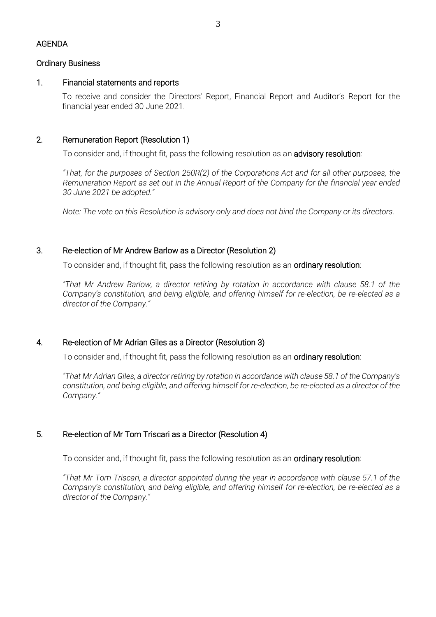#### Ordinary Business

## 1. Financial statements and reports

To receive and consider the Directors' Report, Financial Report and Auditor's Report for the financial year ended 30 June 2021.

## 2. Remuneration Report (Resolution 1)

To consider and, if thought fit, pass the following resolution as an **advisory resolution**:

*"That, for the purposes of Section 250R(2) of the Corporations Act and for all other purposes, the Remuneration Report as set out in the Annual Report of the Company for the financial year ended 30 June 2021 be adopted."*

*Note: The vote on this Resolution is advisory only and does not bind the Company or its directors.*

## 3. Re-election of Mr Andrew Barlow as a Director (Resolution 2)

To consider and, if thought fit, pass the following resolution as an **ordinary resolution**:

*"That Mr Andrew Barlow, a director retiring by rotation in accordance with clause 58.1 of the Company's constitution, and being eligible, and offering himself for re-election, be re-elected as a director of the Company."*

#### 4. Re-election of Mr Adrian Giles as a Director (Resolution 3)

To consider and, if thought fit, pass the following resolution as an ordinary resolution:

*"That Mr Adrian Giles, a director retiring by rotation in accordance with clause 58.1 of the Company's constitution, and being eligible, and offering himself for re-election, be re-elected as a director of the Company."*

## 5. Re-election of Mr Tom Triscari as a Director (Resolution 4)

To consider and, if thought fit, pass the following resolution as an **ordinary resolution**:

*"That Mr Tom Triscari, a director appointed during the year in accordance with clause 57.1 of the Company's constitution, and being eligible, and offering himself for re-election, be re-elected as a director of the Company."*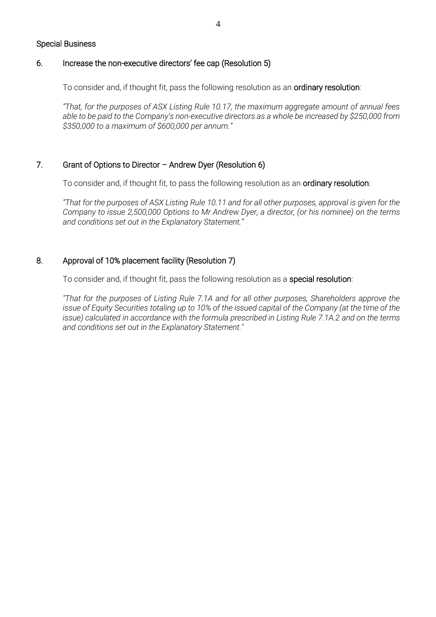#### Special Business

## 6. Increase the non-executive directors' fee cap (Resolution 5)

To consider and, if thought fit, pass the following resolution as an ordinary resolution:

*"That, for the purposes of ASX Listing Rule 10.17, the maximum aggregate amount of annual fees able to be paid to the Company's non-executive directors as a whole be increased by \$250,000 from \$350,000 to a maximum of \$600,000 per annum."*

## 7. Grant of Options to Director – Andrew Dyer (Resolution 6)

To consider and, if thought fit, to pass the following resolution as an ordinary resolution:

*"That for the purposes of ASX Listing Rule 10.11 and for all other purposes, approval is given for the Company to issue 2,500,000 Options to Mr Andrew Dyer, a director, (or his nominee) on the terms and conditions set out in the Explanatory Statement."* 

## 8. Approval of 10% placement facility (Resolution 7)

To consider and, if thought fit, pass the following resolution as a special resolution:

*"That for the purposes of Listing Rule 7.1A and for all other purposes, Shareholders approve the issue of Equity Securities totaling up to 10% of the issued capital of the Company (at the time of the issue) calculated in accordance with the formula prescribed in Listing Rule 7.1A.2 and on the terms and conditions set out in the Explanatory Statement."*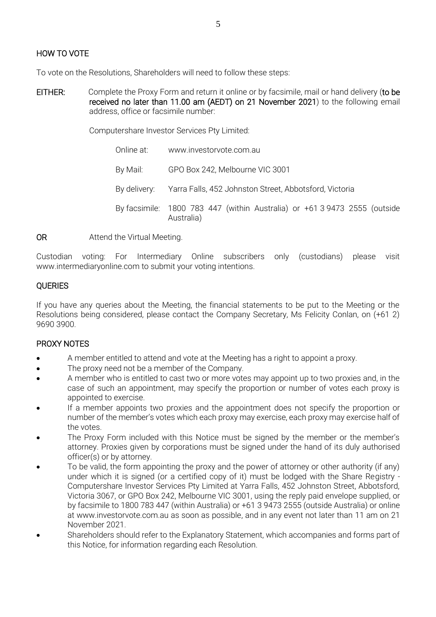## HOW TO VOTE

To vote on the Resolutions, Shareholders will need to follow these steps:

EITHER: Complete the Proxy Form and return it online or by facsimile, mail or hand delivery (to be received no later than 11.00 am (AEDT) on 21 November 2021) to the following email address, office or facsimile number:

Computershare Investor Services Pty Limited:

Online at: www.investorvote.com.au By Mail: GPO Box 242, Melbourne VIC 3001 By delivery: Yarra Falls, 452 Johnston Street, Abbotsford, Victoria By facsimile: 1800 783 447 (within Australia) or +61 3 9473 2555 (outside Australia)

OR Attend the Virtual Meeting.

Custodian voting: For Intermediary Online subscribers only (custodians) please visit www.intermediaryonline.com to submit your voting intentions.

## **OUERIES**

If you have any queries about the Meeting, the financial statements to be put to the Meeting or the Resolutions being considered, please contact the Company Secretary, Ms Felicity Conlan, on (+61 2) 9690 3900.

## PROXY NOTES

- A member entitled to attend and vote at the Meeting has a right to appoint a proxy.
- The proxy need not be a member of the Company.
- A member who is entitled to cast two or more votes may appoint up to two proxies and, in the case of such an appointment, may specify the proportion or number of votes each proxy is appointed to exercise.
- If a member appoints two proxies and the appointment does not specify the proportion or number of the member's votes which each proxy may exercise, each proxy may exercise half of the votes.
- The Proxy Form included with this Notice must be signed by the member or the member's attorney. Proxies given by corporations must be signed under the hand of its duly authorised officer(s) or by attorney.
- To be valid, the form appointing the proxy and the power of attorney or other authority (if any) under which it is signed (or a certified copy of it) must be lodged with the Share Registry - Computershare Investor Services Pty Limited at Yarra Falls, 452 Johnston Street, Abbotsford, Victoria 3067, or GPO Box 242, Melbourne VIC 3001, using the reply paid envelope supplied, or by facsimile to 1800 783 447 (within Australia) or +61 3 9473 2555 (outside Australia) or online at www.investorvote.com.au as soon as possible, and in any event not later than 11 am on 21 November 2021.
- Shareholders should refer to the Explanatory Statement, which accompanies and forms part of this Notice, for information regarding each Resolution.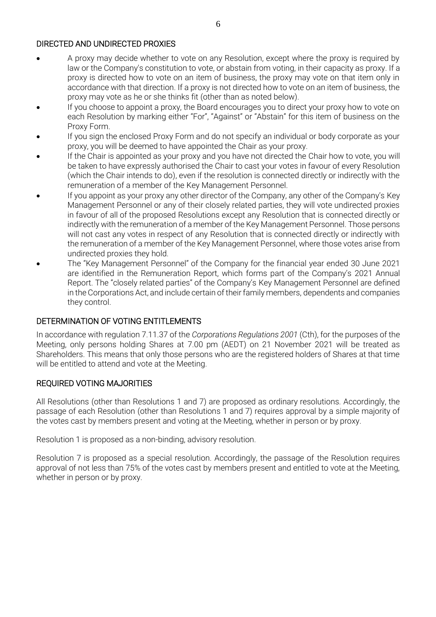## DIRECTED AND UNDIRECTED PROXIES

- A proxy may decide whether to vote on any Resolution, except where the proxy is required by law or the Company's constitution to vote, or abstain from voting, in their capacity as proxy. If a proxy is directed how to vote on an item of business, the proxy may vote on that item only in accordance with that direction. If a proxy is not directed how to vote on an item of business, the proxy may vote as he or she thinks fit (other than as noted below).
- If you choose to appoint a proxy, the Board encourages you to direct your proxy how to vote on each Resolution by marking either "For", "Against" or "Abstain" for this item of business on the Proxy Form.
- If you sign the enclosed Proxy Form and do not specify an individual or body corporate as your proxy, you will be deemed to have appointed the Chair as your proxy.
- If the Chair is appointed as your proxy and you have not directed the Chair how to vote, you will be taken to have expressly authorised the Chair to cast your votes in favour of every Resolution (which the Chair intends to do), even if the resolution is connected directly or indirectly with the remuneration of a member of the Key Management Personnel.
- If you appoint as your proxy any other director of the Company, any other of the Company's Key Management Personnel or any of their closely related parties, they will vote undirected proxies in favour of all of the proposed Resolutions except any Resolution that is connected directly or indirectly with the remuneration of a member of the Key Management Personnel. Those persons will not cast any votes in respect of any Resolution that is connected directly or indirectly with the remuneration of a member of the Key Management Personnel, where those votes arise from undirected proxies they hold.
- The "Key Management Personnel" of the Company for the financial year ended 30 June 2021 are identified in the Remuneration Report, which forms part of the Company's 2021 Annual Report. The "closely related parties" of the Company's Key Management Personnel are defined in the Corporations Act, and include certain of their family members, dependents and companies they control.

## DETERMINATION OF VOTING ENTITLEMENTS

In accordance with regulation 7.11.37 of the *Corporations Regulations 2001* (Cth), for the purposes of the Meeting, only persons holding Shares at 7.00 pm (AEDT) on 21 November 2021 will be treated as Shareholders. This means that only those persons who are the registered holders of Shares at that time will be entitled to attend and vote at the Meeting.

## REQUIRED VOTING MAJORITIES

All Resolutions (other than Resolutions 1 and 7) are proposed as ordinary resolutions. Accordingly, the passage of each Resolution (other than Resolutions 1 and 7) requires approval by a simple majority of the votes cast by members present and voting at the Meeting, whether in person or by proxy.

Resolution 1 is proposed as a non-binding, advisory resolution.

Resolution 7 is proposed as a special resolution. Accordingly, the passage of the Resolution requires approval of not less than 75% of the votes cast by members present and entitled to vote at the Meeting, whether in person or by proxy.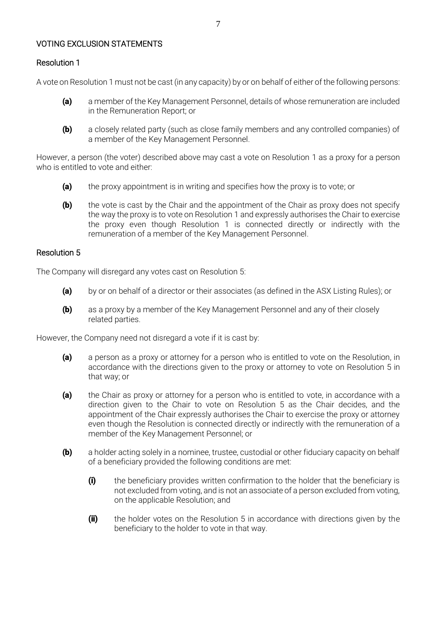## VOTING EXCLUSION STATEMENTS

## Resolution 1

A vote on Resolution 1 must not be cast (in any capacity) by or on behalf of either of the following persons:

- (a) a member of the Key Management Personnel, details of whose remuneration are included in the Remuneration Report; or
- (b) a closely related party (such as close family members and any controlled companies) of a member of the Key Management Personnel.

However, a person (the voter) described above may cast a vote on Resolution 1 as a proxy for a person who is entitled to vote and either:

- (a) the proxy appointment is in writing and specifies how the proxy is to vote; or
- $(b)$  the vote is cast by the Chair and the appointment of the Chair as proxy does not specify the way the proxy is to vote on Resolution 1 and expressly authorises the Chair to exercise the proxy even though Resolution 1 is connected directly or indirectly with the remuneration of a member of the Key Management Personnel.

#### Resolution 5

The Company will disregard any votes cast on Resolution 5:

- (a) by or on behalf of a director or their associates (as defined in the ASX Listing Rules); or
- **(b)** as a proxy by a member of the Key Management Personnel and any of their closely related parties.

However, the Company need not disregard a vote if it is cast by:

- (a) a person as a proxy or attorney for a person who is entitled to vote on the Resolution, in accordance with the directions given to the proxy or attorney to vote on Resolution 5 in that way; or
- (a) the Chair as proxy or attorney for a person who is entitled to vote, in accordance with a direction given to the Chair to vote on Resolution 5 as the Chair decides, and the appointment of the Chair expressly authorises the Chair to exercise the proxy or attorney even though the Resolution is connected directly or indirectly with the remuneration of a member of the Key Management Personnel; or
- (b) a holder acting solely in a nominee, trustee, custodial or other fiduciary capacity on behalf of a beneficiary provided the following conditions are met:
	- (i) the beneficiary provides written confirmation to the holder that the beneficiary is not excluded from voting, and is not an associate of a person excluded from voting, on the applicable Resolution; and
	- (ii) the holder votes on the Resolution 5 in accordance with directions given by the beneficiary to the holder to vote in that way.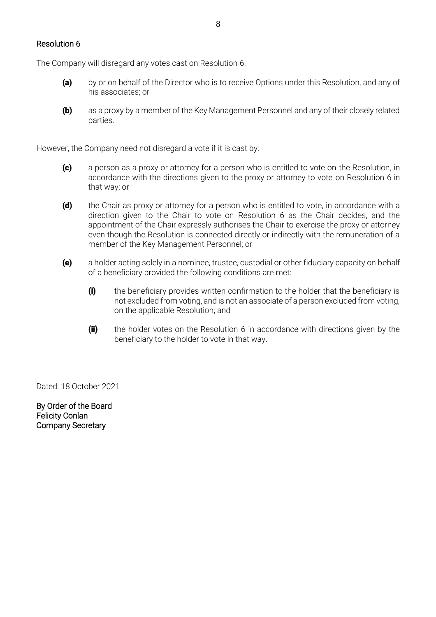#### Resolution 6

The Company will disregard any votes cast on Resolution 6:

- (a) by or on behalf of the Director who is to receive Options under this Resolution, and any of his associates; or
- (b) as a proxy by a member of the Key Management Personnel and any of their closely related parties.

However, the Company need not disregard a vote if it is cast by:

- (c) a person as a proxy or attorney for a person who is entitled to vote on the Resolution, in accordance with the directions given to the proxy or attorney to vote on Resolution 6 in that way; or
- (d) the Chair as proxy or attorney for a person who is entitled to vote, in accordance with a direction given to the Chair to vote on Resolution 6 as the Chair decides, and the appointment of the Chair expressly authorises the Chair to exercise the proxy or attorney even though the Resolution is connected directly or indirectly with the remuneration of a member of the Key Management Personnel; or
- (e) a holder acting solely in a nominee, trustee, custodial or other fiduciary capacity on behalf of a beneficiary provided the following conditions are met:
	- (i) the beneficiary provides written confirmation to the holder that the beneficiary is not excluded from voting, and is not an associate of a person excluded from voting, on the applicable Resolution; and
	- (ii) the holder votes on the Resolution 6 in accordance with directions given by the beneficiary to the holder to vote in that way.

Dated: 18 October 2021

By Order of the Board Felicity Conlan Company Secretary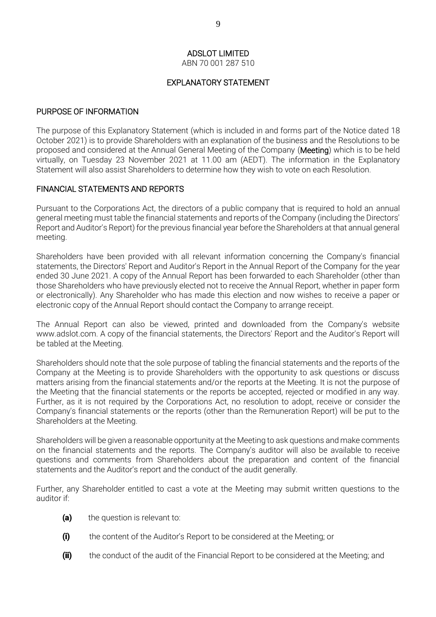ABN 70 001 287 510

## EXPLANATORY STATEMENT

## PURPOSE OF INFORMATION

The purpose of this Explanatory Statement (which is included in and forms part of the Notice dated 18 October 2021) is to provide Shareholders with an explanation of the business and the Resolutions to be proposed and considered at the Annual General Meeting of the Company (Meeting) which is to be held virtually, on Tuesday 23 November 2021 at 11.00 am (AEDT). The information in the Explanatory Statement will also assist Shareholders to determine how they wish to vote on each Resolution.

## FINANCIAL STATEMENTS AND REPORTS

Pursuant to the Corporations Act, the directors of a public company that is required to hold an annual general meeting must table the financial statements and reports of the Company (including the Directors' Report and Auditor's Report) for the previous financial year before the Shareholders at that annual general meeting.

Shareholders have been provided with all relevant information concerning the Company's financial statements, the Directors' Report and Auditor's Report in the Annual Report of the Company for the year ended 30 June 2021. A copy of the Annual Report has been forwarded to each Shareholder (other than those Shareholders who have previously elected not to receive the Annual Report, whether in paper form or electronically). Any Shareholder who has made this election and now wishes to receive a paper or electronic copy of the Annual Report should contact the Company to arrange receipt.

The Annual Report can also be viewed, printed and downloaded from the Company's website www.adslot.com. A copy of the financial statements, the Directors' Report and the Auditor's Report will be tabled at the Meeting.

Shareholders should note that the sole purpose of tabling the financial statements and the reports of the Company at the Meeting is to provide Shareholders with the opportunity to ask questions or discuss matters arising from the financial statements and/or the reports at the Meeting. It is not the purpose of the Meeting that the financial statements or the reports be accepted, rejected or modified in any way. Further, as it is not required by the Corporations Act, no resolution to adopt, receive or consider the Company's financial statements or the reports (other than the Remuneration Report) will be put to the Shareholders at the Meeting.

Shareholders will be given a reasonable opportunity at the Meeting to ask questions and make comments on the financial statements and the reports. The Company's auditor will also be available to receive questions and comments from Shareholders about the preparation and content of the financial statements and the Auditor's report and the conduct of the audit generally.

Further, any Shareholder entitled to cast a vote at the Meeting may submit written questions to the auditor if:

- (a) the question is relevant to:
- (i) the content of the Auditor's Report to be considered at the Meeting; or
- **(ii)** the conduct of the audit of the Financial Report to be considered at the Meeting; and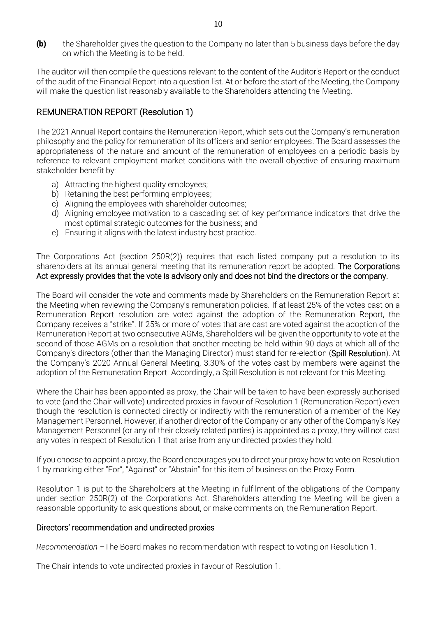(b) the Shareholder gives the question to the Company no later than 5 business days before the day on which the Meeting is to be held.

The auditor will then compile the questions relevant to the content of the Auditor's Report or the conduct of the audit of the Financial Report into a question list. At or before the start of the Meeting, the Company will make the question list reasonably available to the Shareholders attending the Meeting.

## REMUNERATION REPORT (Resolution 1)

The 2021 Annual Report contains the Remuneration Report, which sets out the Company's remuneration philosophy and the policy for remuneration of its officers and senior employees. The Board assesses the appropriateness of the nature and amount of the remuneration of employees on a periodic basis by reference to relevant employment market conditions with the overall objective of ensuring maximum stakeholder benefit by:

- a) Attracting the highest quality employees;
- b) Retaining the best performing employees;
- c) Aligning the employees with shareholder outcomes;
- d) Aligning employee motivation to a cascading set of key performance indicators that drive the most optimal strategic outcomes for the business; and
- e) Ensuring it aligns with the latest industry best practice.

The Corporations Act (section 250R(2)) requires that each listed company put a resolution to its shareholders at its annual general meeting that its remuneration report be adopted. The Corporations Act expressly provides that the vote is advisory only and does not bind the directors or the company.

The Board will consider the vote and comments made by Shareholders on the Remuneration Report at the Meeting when reviewing the Company's remuneration policies. If at least 25% of the votes cast on a Remuneration Report resolution are voted against the adoption of the Remuneration Report, the Company receives a "strike". If 25% or more of votes that are cast are voted against the adoption of the Remuneration Report at two consecutive AGMs, Shareholders will be given the opportunity to vote at the second of those AGMs on a resolution that another meeting be held within 90 days at which all of the Company's directors (other than the Managing Director) must stand for re-election (Spill Resolution). At the Company's 2020 Annual General Meeting, 3.30% of the votes cast by members were against the adoption of the Remuneration Report. Accordingly, a Spill Resolution is not relevant for this Meeting.

Where the Chair has been appointed as proxy, the Chair will be taken to have been expressly authorised to vote (and the Chair will vote) undirected proxies in favour of Resolution 1 (Remuneration Report) even though the resolution is connected directly or indirectly with the remuneration of a member of the Key Management Personnel. However, if another director of the Company or any other of the Company's Key Management Personnel (or any of their closely related parties) is appointed as a proxy, they will not cast any votes in respect of Resolution 1 that arise from any undirected proxies they hold.

If you choose to appoint a proxy, the Board encourages you to direct your proxy how to vote on Resolution 1 by marking either "For", "Against" or "Abstain" for this item of business on the Proxy Form.

Resolution 1 is put to the Shareholders at the Meeting in fulfilment of the obligations of the Company under section 250R(2) of the Corporations Act. Shareholders attending the Meeting will be given a reasonable opportunity to ask questions about, or make comments on, the Remuneration Report.

#### Directors' recommendation and undirected proxies

*Recommendation –*The Board makes no recommendation with respect to voting on Resolution 1.

The Chair intends to vote undirected proxies in favour of Resolution 1.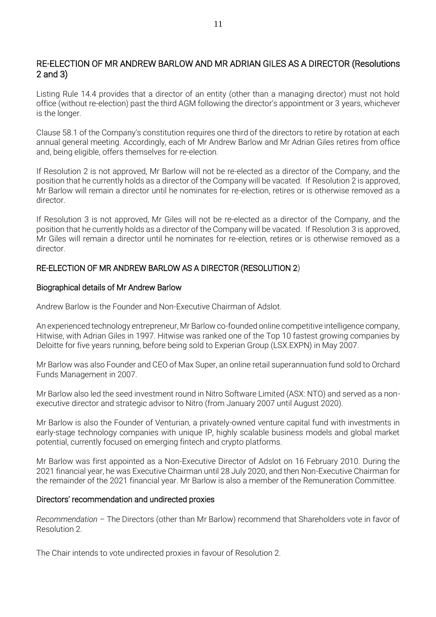## RE-ELECTION OF MR ANDREW BARLOW AND MR ADRIAN GILES AS A DIRECTOR (Resolutions 2 and 3)

Listing Rule 14.4 provides that a director of an entity (other than a managing director) must not hold office (without re-election) past the third AGM following the director's appointment or 3 years, whichever is the longer.

Clause 58.1 of the Company's constitution requires one third of the directors to retire by rotation at each annual general meeting. Accordingly, each of Mr Andrew Barlow and Mr Adrian Giles retires from office and, being eligible, offers themselves for re-election.

If Resolution 2 is not approved, Mr Barlow will not be re-elected as a director of the Company, and the position that he currently holds as a director of the Company will be vacated. If Resolution 2 is approved, Mr Barlow will remain a director until he nominates for re-election, retires or is otherwise removed as a director.

If Resolution 3 is not approved, Mr Giles will not be re-elected as a director of the Company, and the position that he currently holds as a director of the Company will be vacated. If Resolution 3 is approved, Mr Giles will remain a director until he nominates for re-election, retires or is otherwise removed as a director.

## RE-ELECTION OF MR ANDREW BARLOW AS A DIRECTOR (RESOLUTION 2)

#### Biographical details of Mr Andrew Barlow

Andrew Barlow is the Founder and Non-Executive Chairman of Adslot.

An experienced technology entrepreneur, Mr Barlow co-founded online competitive intelligence company, Hitwise, with Adrian Giles in 1997. Hitwise was ranked one of the Top 10 fastest growing companies by Deloitte for five years running, before being sold to Experian Group (LSX.EXPN) in May 2007.

Mr Barlow was also Founder and CEO of Max Super, an online retail superannuation fund sold to Orchard Funds Management in 2007.

Mr Barlow also led the seed investment round in Nitro Software Limited (ASX: NTO) and served as a nonexecutive director and strategic advisor to Nitro (from January 2007 until August 2020).

Mr Barlow is also the Founder of Venturian, a privately-owned venture capital fund with investments in early-stage technology companies with unique IP, highly scalable business models and global market potential, currently focused on emerging fintech and crypto platforms.

Mr Barlow was first appointed as a Non-Executive Director of Adslot on 16 February 2010. During the 2021 financial year, he was Executive Chairman until 28 July 2020, and then Non-Executive Chairman for the remainder of the 2021 financial year. Mr Barlow is also a member of the Remuneration Committee.

#### Directors' recommendation and undirected proxies

*Recommendation –* The Directors (other than Mr Barlow) recommend that Shareholders vote in favor of Resolution 2.

The Chair intends to vote undirected proxies in favour of Resolution 2.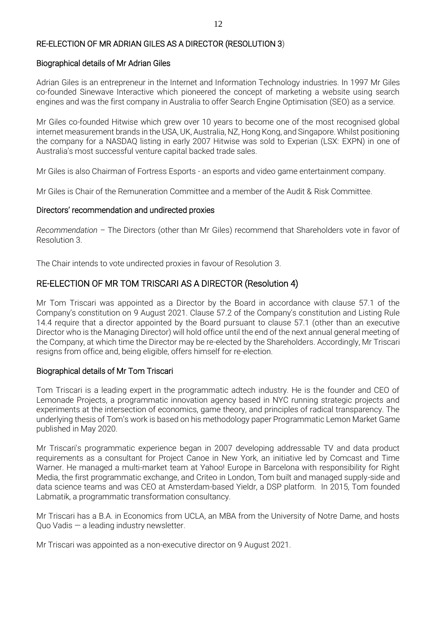## RE-ELECTION OF MR ADRIAN GILES AS A DIRECTOR (RESOLUTION 3)

## Biographical details of Mr Adrian Giles

Adrian Giles is an entrepreneur in the Internet and Information Technology industries. In 1997 Mr Giles co-founded Sinewave Interactive which pioneered the concept of marketing a website using search engines and was the first company in Australia to offer Search Engine Optimisation (SEO) as a service.

Mr Giles co-founded Hitwise which grew over 10 years to become one of the most recognised global internet measurement brands in the USA, UK, Australia, NZ, Hong Kong, and Singapore. Whilst positioning the company for a NASDAQ listing in early 2007 Hitwise was sold to Experian (LSX: EXPN) in one of Australia's most successful venture capital backed trade sales.

Mr Giles is also Chairman of Fortress Esports - an esports and video game entertainment company.

Mr Giles is Chair of the Remuneration Committee and a member of the Audit & Risk Committee.

## Directors' recommendation and undirected proxies

*Recommendation –* The Directors (other than Mr Giles) recommend that Shareholders vote in favor of Resolution 3.

The Chair intends to vote undirected proxies in favour of Resolution 3.

## RE-ELECTION OF MR TOM TRISCARI AS A DIRECTOR (Resolution 4)

Mr Tom Triscari was appointed as a Director by the Board in accordance with clause 57.1 of the Company's constitution on 9 August 2021. Clause 57.2 of the Company's constitution and Listing Rule 14.4 require that a director appointed by the Board pursuant to clause 57.1 (other than an executive Director who is the Managing Director) will hold office until the end of the next annual general meeting of the Company, at which time the Director may be re-elected by the Shareholders. Accordingly, Mr Triscari resigns from office and, being eligible, offers himself for re-election.

## Biographical details of Mr Tom Triscari

Tom Triscari is a leading expert in the programmatic adtech industry. He is the founder and CEO of Lemonade Projects, a programmatic innovation agency based in NYC running strategic projects and experiments at the intersection of economics, game theory, and principles of radical transparency. The underlying thesis of Tom's work is based on his methodology paper Programmatic Lemon Market Game published in May 2020.

Mr Triscari's programmatic experience began in 2007 developing addressable TV and data product requirements as a consultant for Project Canoe in New York, an initiative led by Comcast and Time Warner. He managed a multi-market team at Yahoo! Europe in Barcelona with responsibility for Right Media, the first programmatic exchange, and Criteo in London, Tom built and managed supply-side and data science teams and was CEO at Amsterdam-based Yieldr, a DSP platform. In 2015, Tom founded Labmatik, a programmatic transformation consultancy.

Mr Triscari has a B.A. in Economics from UCLA, an MBA from the University of Notre Dame, and hosts Quo Vadis — a leading industry newsletter.

Mr Triscari was appointed as a non-executive director on 9 August 2021.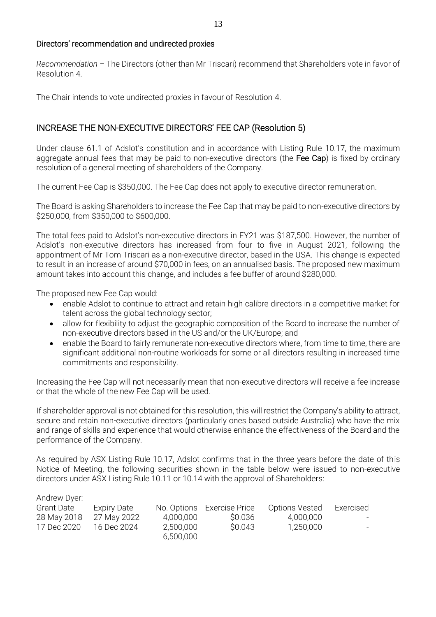## Directors' recommendation and undirected proxies

*Recommendation –* The Directors (other than Mr Triscari) recommend that Shareholders vote in favor of Resolution 4.

The Chair intends to vote undirected proxies in favour of Resolution 4.

## INCREASE THE NON-EXECUTIVE DIRECTORS' FEE CAP (Resolution 5)

Under clause 61.1 of Adslot's constitution and in accordance with Listing Rule 10.17, the maximum aggregate annual fees that may be paid to non-executive directors (the Fee Cap) is fixed by ordinary resolution of a general meeting of shareholders of the Company.

The current Fee Cap is \$350,000. The Fee Cap does not apply to executive director remuneration.

The Board is asking Shareholders to increase the Fee Cap that may be paid to non-executive directors by \$250,000, from \$350,000 to \$600,000.

The total fees paid to Adslot's non-executive directors in FY21 was \$187,500. However, the number of Adslot's non-executive directors has increased from four to five in August 2021, following the appointment of Mr Tom Triscari as a non-executive director, based in the USA. This change is expected to result in an increase of around \$70,000 in fees, on an annualised basis. The proposed new maximum amount takes into account this change, and includes a fee buffer of around \$280,000.

The proposed new Fee Cap would:

- enable Adslot to continue to attract and retain high calibre directors in a competitive market for talent across the global technology sector;
- allow for flexibility to adjust the geographic composition of the Board to increase the number of non-executive directors based in the US and/or the UK/Europe; and
- enable the Board to fairly remunerate non-executive directors where, from time to time, there are significant additional non-routine workloads for some or all directors resulting in increased time commitments and responsibility.

Increasing the Fee Cap will not necessarily mean that non-executive directors will receive a fee increase or that the whole of the new Fee Cap will be used.

If shareholder approval is not obtained for this resolution, this will restrict the Company's ability to attract, secure and retain non-executive directors (particularly ones based outside Australia) who have the mix and range of skills and experience that would otherwise enhance the effectiveness of the Board and the performance of the Company.

As required by ASX Listing Rule 10.17, Adslot confirms that in the three years before the date of this Notice of Meeting, the following securities shown in the table below were issued to non-executive directors under ASX Listing Rule 10.11 or 10.14 with the approval of Shareholders:

| Andrew Dyer: |             |           |                            |                       |                  |
|--------------|-------------|-----------|----------------------------|-----------------------|------------------|
| Grant Date   | Expiry Date |           | No. Options Exercise Price | <b>Options Vested</b> | Exercised        |
| 28 May 2018  | 27 May 2022 | 4,000,000 | S0.036                     | 4,000,000             | $\sim$           |
| 17 Dec 2020  | 16 Dec 2024 | 2,500,000 | \$0.043                    | 1,250,000             | $\sim$ 100 $\mu$ |
|              |             | 6,500,000 |                            |                       |                  |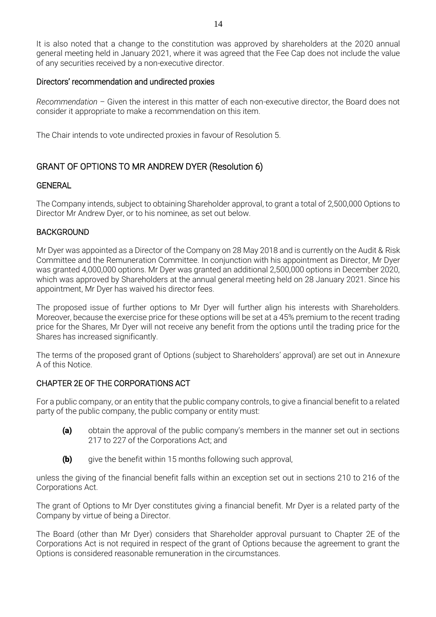It is also noted that a change to the constitution was approved by shareholders at the 2020 annual general meeting held in January 2021, where it was agreed that the Fee Cap does not include the value of any securities received by a non-executive director.

## Directors' recommendation and undirected proxies

*Recommendation –* Given the interest in this matter of each non-executive director, the Board does not consider it appropriate to make a recommendation on this item.

The Chair intends to vote undirected proxies in favour of Resolution 5.

## GRANT OF OPTIONS TO MR ANDREW DYER (Resolution 6)

## GENERAL

The Company intends, subject to obtaining Shareholder approval, to grant a total of 2,500,000 Options to Director Mr Andrew Dyer, or to his nominee, as set out below.

## BACKGROUND

Mr Dyer was appointed as a Director of the Company on 28 May 2018 and is currently on the Audit & Risk Committee and the Remuneration Committee. In conjunction with his appointment as Director, Mr Dyer was granted 4,000,000 options. Mr Dyer was granted an additional 2,500,000 options in December 2020, which was approved by Shareholders at the annual general meeting held on 28 January 2021. Since his appointment, Mr Dyer has waived his director fees.

The proposed issue of further options to Mr Dyer will further align his interests with Shareholders. Moreover, because the exercise price for these options will be set at a 45% premium to the recent trading price for the Shares, Mr Dyer will not receive any benefit from the options until the trading price for the Shares has increased significantly.

The terms of the proposed grant of Options (subject to Shareholders' approval) are set out in Annexure A of this Notice.

## CHAPTER 2E OF THE CORPORATIONS ACT

For a public company, or an entity that the public company controls, to give a financial benefit to a related party of the public company, the public company or entity must:

- (a) obtain the approval of the public company's members in the manner set out in sections 217 to 227 of the Corporations Act; and
- **(b)** give the benefit within 15 months following such approval,

unless the giving of the financial benefit falls within an exception set out in sections 210 to 216 of the Corporations Act.

The grant of Options to Mr Dyer constitutes giving a financial benefit. Mr Dyer is a related party of the Company by virtue of being a Director.

The Board (other than Mr Dyer) considers that Shareholder approval pursuant to Chapter 2E of the Corporations Act is not required in respect of the grant of Options because the agreement to grant the Options is considered reasonable remuneration in the circumstances.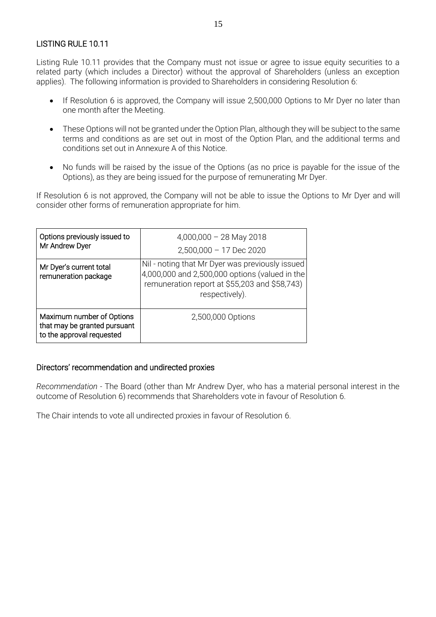## LISTING RULE 10.11

Listing Rule 10.11 provides that the Company must not issue or agree to issue equity securities to a related party (which includes a Director) without the approval of Shareholders (unless an exception applies). The following information is provided to Shareholders in considering Resolution 6:

- If Resolution 6 is approved, the Company will issue 2,500,000 Options to Mr Dyer no later than one month after the Meeting.
- These Options will not be granted under the Option Plan, although they will be subject to the same terms and conditions as are set out in most of the Option Plan, and the additional terms and conditions set out in Annexure A of this Notice.
- No funds will be raised by the issue of the Options (as no price is payable for the issue of the Options), as they are being issued for the purpose of remunerating Mr Dyer.

If Resolution 6 is not approved, the Company will not be able to issue the Options to Mr Dyer and will consider other forms of remuneration appropriate for him.

| Options previously issued to<br>Mr Andrew Dyer                                         | $4,000,000 - 28$ May 2018<br>$2,500,000 - 17$ Dec 2020                                                                                                               |  |  |
|----------------------------------------------------------------------------------------|----------------------------------------------------------------------------------------------------------------------------------------------------------------------|--|--|
| Mr Dyer's current total<br>remuneration package                                        | Nil - noting that Mr Dyer was previously issued<br>4,000,000 and 2,500,000 options (valued in the<br>remuneration report at \$55,203 and \$58,743)<br>respectively). |  |  |
| Maximum number of Options<br>that may be granted pursuant<br>to the approval requested | 2,500,000 Options                                                                                                                                                    |  |  |

#### Directors' recommendation and undirected proxies

*Recommendation -* The Board (other than Mr Andrew Dyer, who has a material personal interest in the outcome of Resolution 6) recommends that Shareholders vote in favour of Resolution 6.

The Chair intends to vote all undirected proxies in favour of Resolution 6.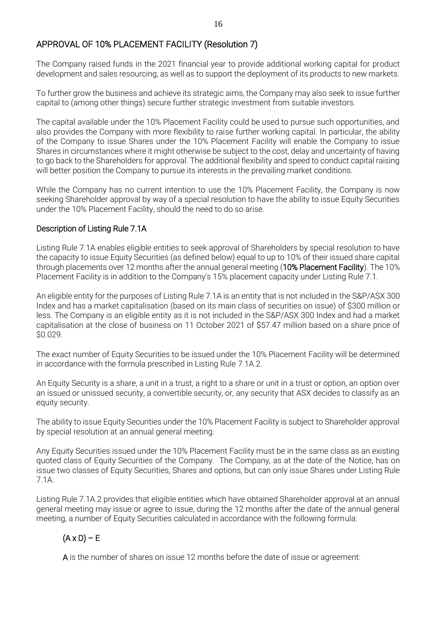## APPROVAL OF 10% PLACEMENT FACILITY (Resolution 7)

The Company raised funds in the 2021 financial year to provide additional working capital for product development and sales resourcing, as well as to support the deployment of its products to new markets.

To further grow the business and achieve its strategic aims, the Company may also seek to issue further capital to (among other things) secure further strategic investment from suitable investors.

The capital available under the 10% Placement Facility could be used to pursue such opportunities, and also provides the Company with more flexibility to raise further working capital. In particular, the ability of the Company to issue Shares under the 10% Placement Facility will enable the Company to issue Shares in circumstances where it might otherwise be subject to the cost, delay and uncertainty of having to go back to the Shareholders for approval. The additional flexibility and speed to conduct capital raising will better position the Company to pursue its interests in the prevailing market conditions.

While the Company has no current intention to use the 10% Placement Facility, the Company is now seeking Shareholder approval by way of a special resolution to have the ability to issue Equity Securities under the 10% Placement Facility, should the need to do so arise.

## Description of Listing Rule 7.1A

Listing Rule 7.1A enables eligible entities to seek approval of Shareholders by special resolution to have the capacity to issue Equity Securities (as defined below) equal to up to 10% of their issued share capital through placements over 12 months after the annual general meeting (10% Placement Facility). The 10% Placement Facility is in addition to the Company's 15% placement capacity under Listing Rule 7.1.

An eligible entity for the purposes of Listing Rule 7.1A is an entity that is not included in the S&P/ASX 300 Index and has a market capitalisation (based on its main class of securities on issue) of \$300 million or less. The Company is an eligible entity as it is not included in the S&P/ASX 300 Index and had a market capitalisation at the close of business on 11 October 2021 of \$57.47 million based on a share price of \$0.029.

The exact number of Equity Securities to be issued under the 10% Placement Facility will be determined in accordance with the formula prescribed in Listing Rule 7.1A.2.

An Equity Security is a share, a unit in a trust, a right to a share or unit in a trust or option, an option over an issued or unissued security, a convertible security, or, any security that ASX decides to classify as an equity security.

The ability to issue Equity Securities under the 10% Placement Facility is subject to Shareholder approval by special resolution at an annual general meeting.

Any Equity Securities issued under the 10% Placement Facility must be in the same class as an existing quoted class of Equity Securities of the Company. The Company, as at the date of the Notice, has on issue two classes of Equity Securities, Shares and options, but can only issue Shares under Listing Rule 7.1A.

Listing Rule 7.1A.2 provides that eligible entities which have obtained Shareholder approval at an annual general meeting may issue or agree to issue, during the 12 months after the date of the annual general meeting, a number of Equity Securities calculated in accordance with the following formula:

## $(A \times D) - E$

A is the number of shares on issue 12 months before the date of issue or agreement: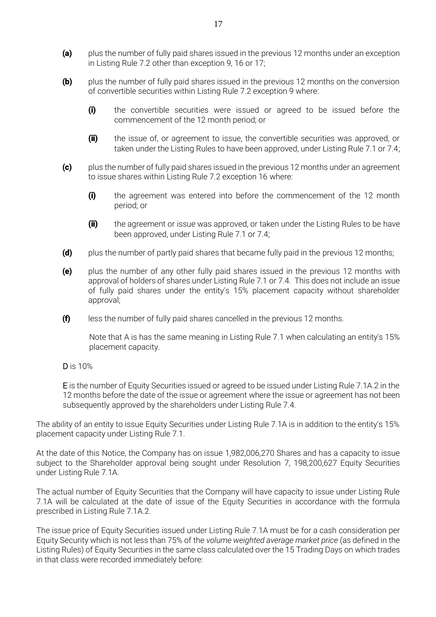- (a) plus the number of fully paid shares issued in the previous 12 months under an exception in Listing Rule 7.2 other than exception 9, 16 or 17;
- **(b)** plus the number of fully paid shares issued in the previous 12 months on the conversion of convertible securities within Listing Rule 7.2 exception 9 where:
	- (i) the convertible securities were issued or agreed to be issued before the commencement of the 12 month period; or
	- (ii) the issue of, or agreement to issue, the convertible securities was approved, or taken under the Listing Rules to have been approved, under Listing Rule 7.1 or 7.4;
- (c) plus the number of fully paid shares issued in the previous 12 months under an agreement to issue shares within Listing Rule 7.2 exception 16 where:
	- (i) the agreement was entered into before the commencement of the 12 month period; or
	- (ii) the agreement or issue was approved, or taken under the Listing Rules to be have been approved, under Listing Rule 7.1 or 7.4;
- (d) plus the number of partly paid shares that became fully paid in the previous 12 months;
- (e) plus the number of any other fully paid shares issued in the previous 12 months with approval of holders of shares under Listing Rule 7.1 or 7.4. This does not include an issue of fully paid shares under the entity's 15% placement capacity without shareholder approval;
- $(f)$  less the number of fully paid shares cancelled in the previous 12 months.

Note that A is has the same meaning in Listing Rule 7.1 when calculating an entity's 15% placement capacity.

D is 10%

E is the number of Equity Securities issued or agreed to be issued under Listing Rule 7.1A.2 in the 12 months before the date of the issue or agreement where the issue or agreement has not been subsequently approved by the shareholders under Listing Rule 7.4.

The ability of an entity to issue Equity Securities under Listing Rule 7.1A is in addition to the entity's 15% placement capacity under Listing Rule 7.1.

At the date of this Notice, the Company has on issue 1,982,006,270 Shares and has a capacity to issue subject to the Shareholder approval being sought under Resolution 7, 198,200,627 Equity Securities under Listing Rule 7.1A.

The actual number of Equity Securities that the Company will have capacity to issue under Listing Rule 7.1A will be calculated at the date of issue of the Equity Securities in accordance with the formula prescribed in Listing Rule 7.1A.2.

The issue price of Equity Securities issued under Listing Rule 7.1A must be for a cash consideration per Equity Security which is not less than 75% of the *volume weighted average market price* (as defined in the Listing Rules) of Equity Securities in the same class calculated over the 15 Trading Days on which trades in that class were recorded immediately before: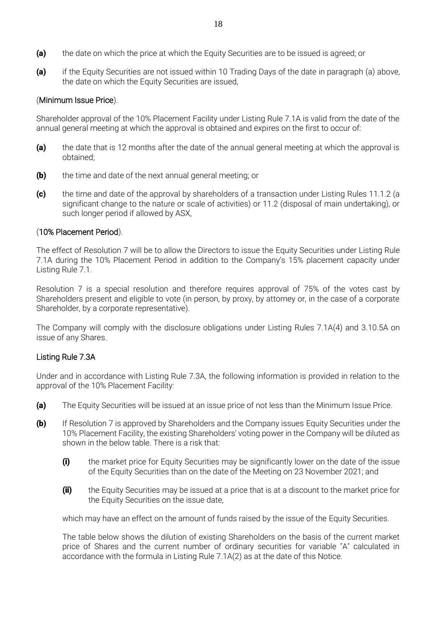- (a) the date on which the price at which the Equity Securities are to be issued is agreed; or
- (a) if the Equity Securities are not issued within 10 Trading Days of the date in paragraph (a) above, the date on which the Equity Securities are issued,

## (Minimum Issue Price).

Shareholder approval of the 10% Placement Facility under Listing Rule 7.1A is valid from the date of the annual general meeting at which the approval is obtained and expires on the first to occur of:

- (a) the date that is 12 months after the date of the annual general meeting at which the approval is obtained;
- **(b)** the time and date of the next annual general meeting; or
- (c) the time and date of the approval by shareholders of a transaction under Listing Rules 11.1.2 (a significant change to the nature or scale of activities) or 11.2 (disposal of main undertaking), or such longer period if allowed by ASX,

## (10% Placement Period).

The effect of Resolution 7 will be to allow the Directors to issue the Equity Securities under Listing Rule 7.1A during the 10% Placement Period in addition to the Company's 15% placement capacity under Listing Rule 7.1.

Resolution 7 is a special resolution and therefore requires approval of 75% of the votes cast by Shareholders present and eligible to vote (in person, by proxy, by attorney or, in the case of a corporate Shareholder, by a corporate representative).

The Company will comply with the disclosure obligations under Listing Rules 7.1A(4) and 3.10.5A on issue of any Shares.

#### Listing Rule 7.3A

Under and in accordance with Listing Rule 7.3A, the following information is provided in relation to the approval of the 10% Placement Facility:

- (a) The Equity Securities will be issued at an issue price of not less than the Minimum Issue Price.
- **(b)** If Resolution 7 is approved by Shareholders and the Company issues Equity Securities under the 10% Placement Facility, the existing Shareholders' voting power in the Company will be diluted as shown in the below table. There is a risk that:
	- (i) the market price for Equity Securities may be significantly lower on the date of the issue of the Equity Securities than on the date of the Meeting on 23 November 2021; and
	- (ii) the Equity Securities may be issued at a price that is at a discount to the market price for the Equity Securities on the issue date,

which may have an effect on the amount of funds raised by the issue of the Equity Securities.

The table below shows the dilution of existing Shareholders on the basis of the current market price of Shares and the current number of ordinary securities for variable "A" calculated in accordance with the formula in Listing Rule 7.1A(2) as at the date of this Notice.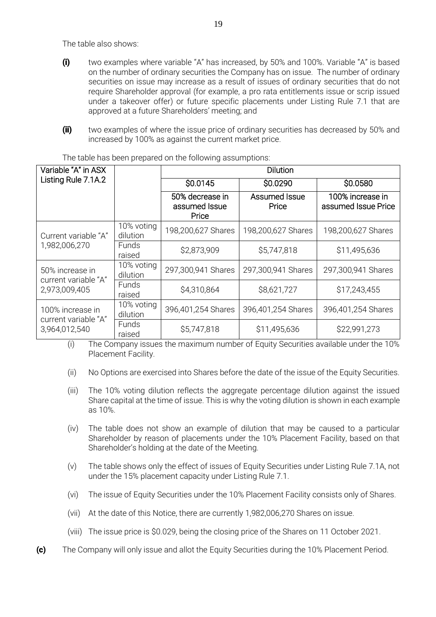The table also shows:

- (i) two examples where variable "A" has increased, by 50% and 100%. Variable "A" is based on the number of ordinary securities the Company has on issue. The number of ordinary securities on issue may increase as a result of issues of ordinary securities that do not require Shareholder approval (for example, a pro rata entitlements issue or scrip issued under a takeover offer) or future specific placements under Listing Rule 7.1 that are approved at a future Shareholders' meeting; and
- (ii) two examples of where the issue price of ordinary securities has decreased by 50% and increased by 100% as against the current market price.

| Variable "A" in ASX                      |                        | Dilution                                  |                        |                                         |  |  |
|------------------------------------------|------------------------|-------------------------------------------|------------------------|-----------------------------------------|--|--|
| Listing Rule 7.1A.2                      |                        | \$0.0145                                  | \$0.0290               | \$0.0580                                |  |  |
|                                          |                        | 50% decrease in<br>assumed Issue<br>Price | Assumed Issue<br>Price | 100% increase in<br>assumed Issue Price |  |  |
| Current variable "A"                     | 10% voting<br>dilution | 198,200,627 Shares                        | 198,200,627 Shares     | 198,200,627 Shares                      |  |  |
| 1,982,006,270                            | Funds<br>raised        | \$2,873,909                               | \$5,747,818            | \$11,495,636                            |  |  |
| 50% increase in<br>current variable "A"  | 10% voting<br>dilution | 297,300,941 Shares                        | 297,300,941 Shares     | 297,300,941 Shares                      |  |  |
| 2,973,009,405                            | <b>Funds</b><br>raised | \$4,310,864                               | \$8,621,727            | \$17,243,455                            |  |  |
| 100% increase in<br>current variable "A" | 10% voting<br>dilution | 396,401,254 Shares                        | 396,401,254 Shares     | 396,401,254 Shares                      |  |  |
| 3,964,012,540                            | Funds<br>raised        | \$5,747,818                               | \$11,495,636           | \$22,991,273                            |  |  |

The table has been prepared on the following assumptions:

(i) The Company issues the maximum number of Equity Securities available under the 10% Placement Facility.

- (ii) No Options are exercised into Shares before the date of the issue of the Equity Securities.
- (iii) The 10% voting dilution reflects the aggregate percentage dilution against the issued Share capital at the time of issue. This is why the voting dilution is shown in each example as 10%.
- (iv) The table does not show an example of dilution that may be caused to a particular Shareholder by reason of placements under the 10% Placement Facility, based on that Shareholder's holding at the date of the Meeting.
- (v) The table shows only the effect of issues of Equity Securities under Listing Rule 7.1A, not under the 15% placement capacity under Listing Rule 7.1.
- (vi) The issue of Equity Securities under the 10% Placement Facility consists only of Shares.
- (vii) At the date of this Notice, there are currently 1,982,006,270 Shares on issue.
- (viii) The issue price is \$0.029, being the closing price of the Shares on 11 October 2021.
- (c) The Company will only issue and allot the Equity Securities during the 10% Placement Period.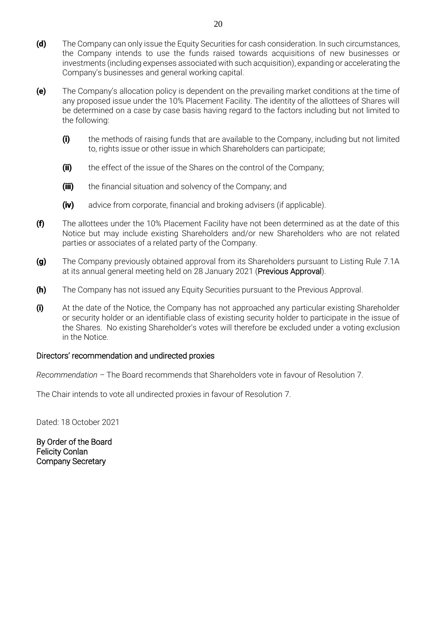- (d) The Company can only issue the Equity Securities for cash consideration. In such circumstances, the Company intends to use the funds raised towards acquisitions of new businesses or investments (including expenses associated with such acquisition), expanding or accelerating the Company's businesses and general working capital.
- (e) The Company's allocation policy is dependent on the prevailing market conditions at the time of any proposed issue under the 10% Placement Facility. The identity of the allottees of Shares will be determined on a case by case basis having regard to the factors including but not limited to the following:
	- (i) the methods of raising funds that are available to the Company, including but not limited to, rights issue or other issue in which Shareholders can participate;
	- (ii) the effect of the issue of the Shares on the control of the Company;
	- (iii) the financial situation and solvency of the Company; and
	- **(iv)** advice from corporate, financial and broking advisers (if applicable).
- (f) The allottees under the 10% Placement Facility have not been determined as at the date of this Notice but may include existing Shareholders and/or new Shareholders who are not related parties or associates of a related party of the Company.
- (g) The Company previously obtained approval from its Shareholders pursuant to Listing Rule 7.1A at its annual general meeting held on 28 January 2021 (Previous Approval).
- **(h)** The Company has not issued any Equity Securities pursuant to the Previous Approval.
- (i) At the date of the Notice, the Company has not approached any particular existing Shareholder or security holder or an identifiable class of existing security holder to participate in the issue of the Shares. No existing Shareholder's votes will therefore be excluded under a voting exclusion in the Notice.

#### Directors' recommendation and undirected proxies

*Recommendation –* The Board recommends that Shareholders vote in favour of Resolution 7.

The Chair intends to vote all undirected proxies in favour of Resolution 7.

Dated: 18 October 2021

By Order of the Board Felicity Conlan Company Secretary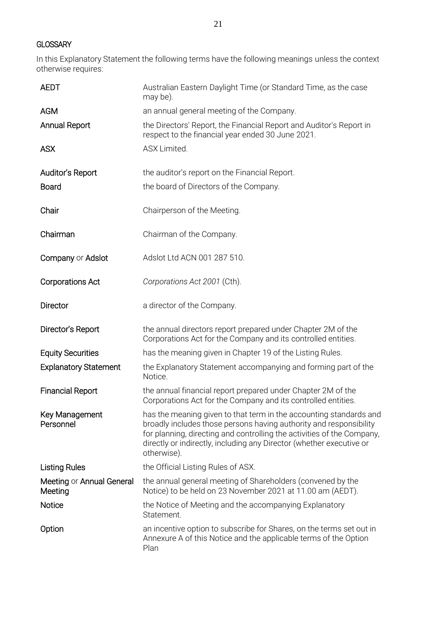## **GLOSSARY**

In this Explanatory Statement the following terms have the following meanings unless the context otherwise requires:

| <b>AEDT</b>                          | Australian Eastern Daylight Time (or Standard Time, as the case<br>may be).                                                                                                                                                                                                                               |
|--------------------------------------|-----------------------------------------------------------------------------------------------------------------------------------------------------------------------------------------------------------------------------------------------------------------------------------------------------------|
| <b>AGM</b>                           | an annual general meeting of the Company.                                                                                                                                                                                                                                                                 |
| <b>Annual Report</b>                 | the Directors' Report, the Financial Report and Auditor's Report in<br>respect to the financial year ended 30 June 2021.                                                                                                                                                                                  |
| <b>ASX</b>                           | ASX Limited.                                                                                                                                                                                                                                                                                              |
| Auditor's Report                     | the auditor's report on the Financial Report.                                                                                                                                                                                                                                                             |
| <b>Board</b>                         | the board of Directors of the Company.                                                                                                                                                                                                                                                                    |
| Chair                                | Chairperson of the Meeting.                                                                                                                                                                                                                                                                               |
| Chairman                             | Chairman of the Company.                                                                                                                                                                                                                                                                                  |
| Company or Adslot                    | Adslot Ltd ACN 001 287 510.                                                                                                                                                                                                                                                                               |
| <b>Corporations Act</b>              | Corporations Act 2001 (Cth).                                                                                                                                                                                                                                                                              |
| <b>Director</b>                      | a director of the Company.                                                                                                                                                                                                                                                                                |
| Director's Report                    | the annual directors report prepared under Chapter 2M of the<br>Corporations Act for the Company and its controlled entities.                                                                                                                                                                             |
| <b>Equity Securities</b>             | has the meaning given in Chapter 19 of the Listing Rules.                                                                                                                                                                                                                                                 |
| <b>Explanatory Statement</b>         | the Explanatory Statement accompanying and forming part of the<br>Notice.                                                                                                                                                                                                                                 |
| <b>Financial Report</b>              | the annual financial report prepared under Chapter 2M of the<br>Corporations Act for the Company and its controlled entities.                                                                                                                                                                             |
| Key Management<br>Personnel          | has the meaning given to that term in the accounting standards and<br>broadly includes those persons having authority and responsibility<br>for planning, directing and controlling the activities of the Company,<br>directly or indirectly, including any Director (whether executive or<br>otherwise). |
| <b>Listing Rules</b>                 | the Official Listing Rules of ASX.                                                                                                                                                                                                                                                                        |
| Meeting or Annual General<br>Meeting | the annual general meeting of Shareholders (convened by the<br>Notice) to be held on 23 November 2021 at 11.00 am (AEDT).                                                                                                                                                                                 |
| Notice                               | the Notice of Meeting and the accompanying Explanatory<br>Statement.                                                                                                                                                                                                                                      |
| Option                               | an incentive option to subscribe for Shares, on the terms set out in<br>Annexure A of this Notice and the applicable terms of the Option<br>Plan                                                                                                                                                          |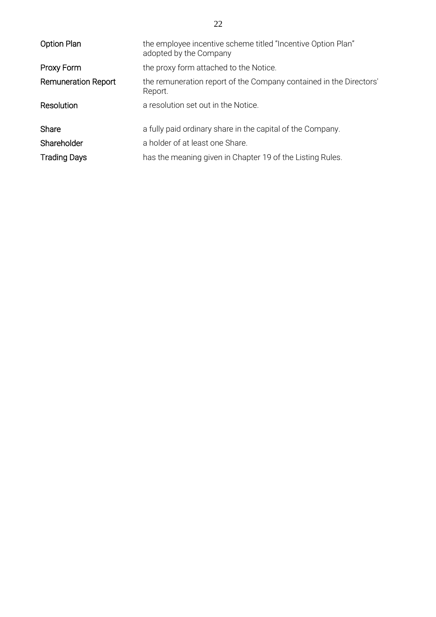| <b>Option Plan</b>         | the employee incentive scheme titled "Incentive Option Plan"<br>adopted by the Company |
|----------------------------|----------------------------------------------------------------------------------------|
| Proxy Form                 | the proxy form attached to the Notice.                                                 |
| <b>Remuneration Report</b> | the remuneration report of the Company contained in the Directors'<br>Report.          |
| Resolution                 | a resolution set out in the Notice.                                                    |
| Share                      | a fully paid ordinary share in the capital of the Company.                             |
| Shareholder                | a holder of at least one Share.                                                        |
| <b>Trading Days</b>        | has the meaning given in Chapter 19 of the Listing Rules.                              |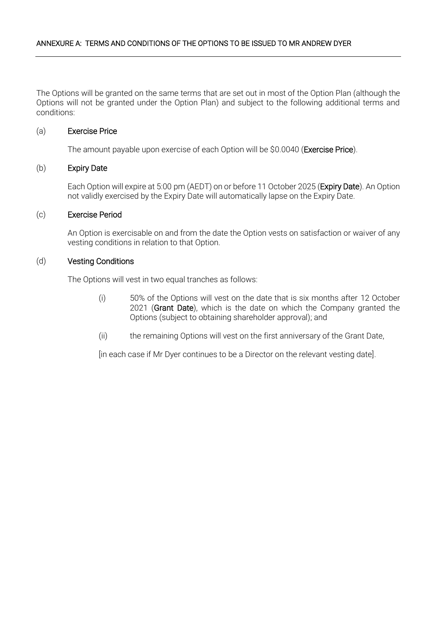The Options will be granted on the same terms that are set out in most of the Option Plan (although the Options will not be granted under the Option Plan) and subject to the following additional terms and conditions:

#### (a) Exercise Price

The amount payable upon exercise of each Option will be \$0.0040 (Exercise Price).

## (b) Expiry Date

Each Option will expire at 5:00 pm (AEDT) on or before 11 October 2025 (Expiry Date). An Option not validly exercised by the Expiry Date will automatically lapse on the Expiry Date.

#### (c) Exercise Period

An Option is exercisable on and from the date the Option vests on satisfaction or waiver of any vesting conditions in relation to that Option.

#### (d) Vesting Conditions

The Options will vest in two equal tranches as follows:

- (i) 50% of the Options will vest on the date that is six months after 12 October 2021 (Grant Date), which is the date on which the Company granted the Options (subject to obtaining shareholder approval); and
- (ii) the remaining Options will vest on the first anniversary of the Grant Date,

[in each case if Mr Dyer continues to be a Director on the relevant vesting date].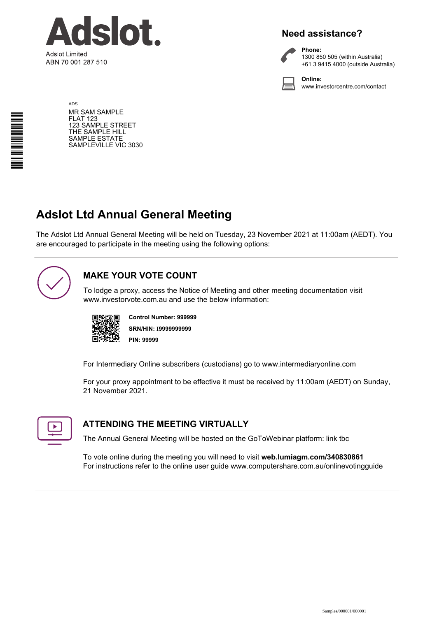

## **Need assistance?**



**Phone:** 1300 850 505 (within Australia) +61 3 9415 4000 (outside Australia)

**Online:** www.investorcentre.com/contact

ADS MR SAM SAMPLE FLAT 123 123 SAMPLE STREET THE SAMPLE HILL SAMPLE ESTATE SAMPLEVILLE VIC 3030

# **Adslot Ltd Annual General Meeting**

The Adslot Ltd Annual General Meeting will be held on Tuesday, 23 November 2021 at 11:00am (AEDT). You are encouraged to participate in the meeting using the following options:



## **MAKE YOUR VOTE COUNT**

To lodge a proxy, access the Notice of Meeting and other meeting documentation visit www.investorvote.com.au and use the below information:



**SRN/HIN: I9999999999 Control Number: 999999 PIN: 99999**

For Intermediary Online subscribers (custodians) go to www.intermediaryonline.com

For your proxy appointment to be effective it must be received by 11:00am (AEDT) on Sunday, 21 November 2021.



## **ATTENDING THE MEETING VIRTUALLY**

The Annual General Meeting will be hosted on the GoToWebinar platform: link tbc

To vote online during the meeting you will need to visit **web.lumiagm.com/340830861** For instructions refer to the online user guide www.computershare.com.au/onlinevotingguide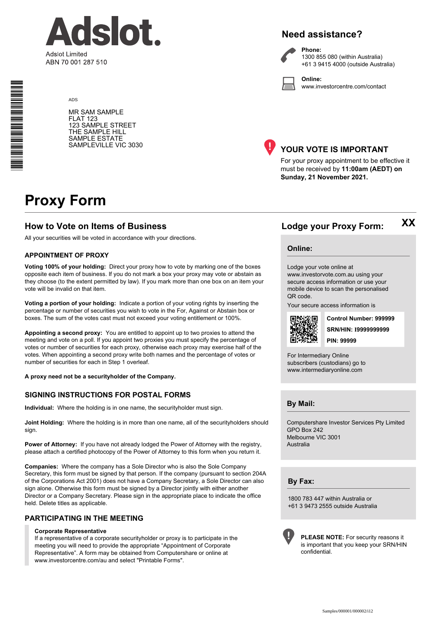

## **Need assistance?**

**Phone:**



1300 855 080 (within Australia) +61 3 9415 4000 (outside Australia)

**Online:** www.investorcentre.com/contact

MR SAM SAMPLE FLAT 123 123 SAMPLE STREET THE SAMPLE HILL SAMPLE ESTATE SAMPLEVILLE VIC 3030



## **YOUR VOTE IS IMPORTANT**

For your proxy appointment to be effective it must be received by **11:00am (AEDT) on Sunday, 21 November 2021.**

# **Proxy Form**

ADS

## **How to Vote on Items of Business Lodge your Proxy Form:**

All your securities will be voted in accordance with your directions.

#### **APPOINTMENT OF PROXY**

**Voting 100% of your holding:** Direct your proxy how to vote by marking one of the boxes opposite each item of business. If you do not mark a box your proxy may vote or abstain as they choose (to the extent permitted by law). If you mark more than one box on an item your vote will be invalid on that item.

**Voting a portion of your holding:** Indicate a portion of your voting rights by inserting the percentage or number of securities you wish to vote in the For, Against or Abstain box or boxes. The sum of the votes cast must not exceed your voting entitlement or 100%.

**Appointing a second proxy:** You are entitled to appoint up to two proxies to attend the meeting and vote on a poll. If you appoint two proxies you must specify the percentage of votes or number of securities for each proxy, otherwise each proxy may exercise half of the votes. When appointing a second proxy write both names and the percentage of votes or number of securities for each in Step 1 overleaf.

**A proxy need not be a securityholder of the Company.**

#### **SIGNING INSTRUCTIONS FOR POSTAL FORMS**

**Individual:** Where the holding is in one name, the securityholder must sign.

**Joint Holding:** Where the holding is in more than one name, all of the securityholders should sign.

**Power of Attorney:** If you have not already lodged the Power of Attorney with the registry, please attach a certified photocopy of the Power of Attorney to this form when you return it.

**Companies:** Where the company has a Sole Director who is also the Sole Company Secretary, this form must be signed by that person. If the company (pursuant to section 204A of the Corporations Act 2001) does not have a Company Secretary, a Sole Director can also sign alone. Otherwise this form must be signed by a Director jointly with either another Director or a Company Secretary. Please sign in the appropriate place to indicate the office held. Delete titles as applicable.

#### **PARTICIPATING IN THE MEETING**

#### **Corporate Representative**

If a representative of a corporate securityholder or proxy is to participate in the meeting you will need to provide the appropriate "Appointment of Corporate Representative". A form may be obtained from Computershare or online at www.investorcentre.com/au and select "Printable Forms".

**Online:**

Lodge your vote online at

www.investorvote.com.au using your secure access information or use your mobile device to scan the personalised QR code.

Your secure access information is



**SRN/HIN: I9999999999 Control Number: 999999 PIN: 99999**

**XX**

For Intermediary Online subscribers (custodians) go to www.intermediaryonline.com

**By Mail:**

Computershare Investor Services Pty Limited GPO Box 242 Melbourne VIC 3001 Australia

**By Fax:**

1800 783 447 within Australia or +61 3 9473 2555 outside Australia



**PLEASE NOTE:** For security reasons it is important that you keep your SRN/HIN confidential.